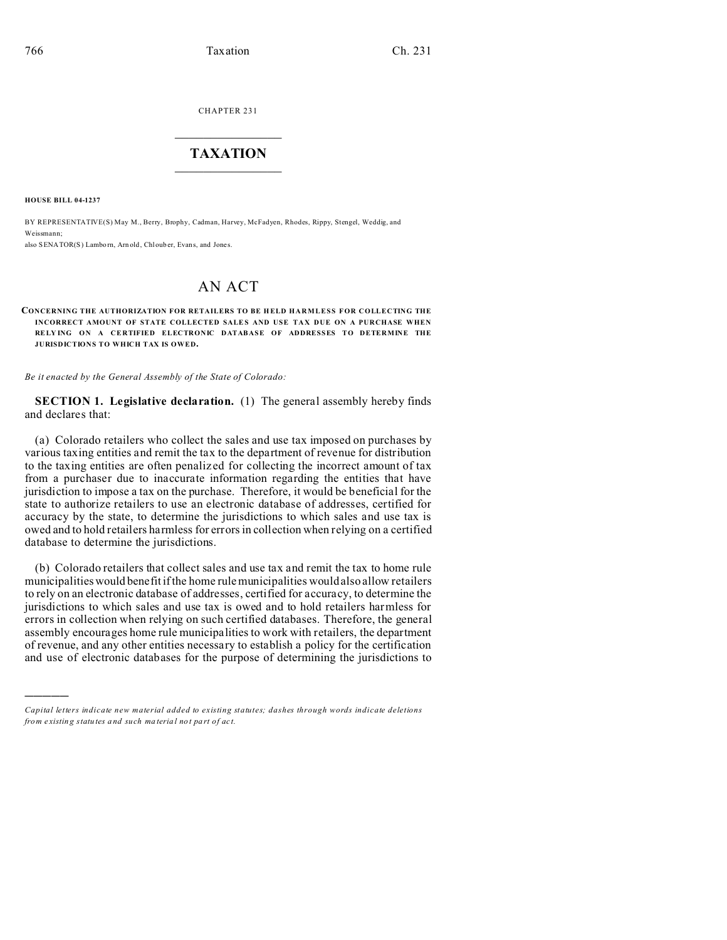CHAPTER 231  $\overline{\phantom{a}}$  , where  $\overline{\phantom{a}}$ 

## **TAXATION**  $\_$

**HOUSE BILL 04-1237**

)))))

BY REPRESENTATIVE(S) May M., Berry, Brophy, Cadman, Harvey, McFadyen, Rhodes, Rippy, Stengel, Weddig, and Weissmann; also SENATOR(S) Lamborn, Arn old, Chl ouber, Evans, and Jones.

## AN ACT

## **CONCERNING THE AUTHORIZATION FOR RETAILERS TO BE H ELD HARMLESS FOR COLLECTING THE INCORRECT AMOUNT OF STATE COLLECTED SALES AND USE TAX DUE ON A PURCHASE WHEN** RELYING ON A CERTIFIED ELECTRONIC DATABASE OF ADDRESSES TO DETERMINE THE **JURISDICTIONS TO WHICH TAX IS OWED.**

*Be it enacted by the General Assembly of the State of Colorado:*

**SECTION 1. Legislative declaration.** (1) The general assembly hereby finds and declares that:

(a) Colorado retailers who collect the sales and use tax imposed on purchases by various taxing entities and remit the tax to the department of revenue for distribution to the taxing entities are often penalized for collecting the incorrect amount of tax from a purchaser due to inaccurate information regarding the entities that have jurisdiction to impose a tax on the purchase. Therefore, it would be beneficial for the state to authorize retailers to use an electronic database of addresses, certified for accuracy by the state, to determine the jurisdictions to which sales and use tax is owed and to hold retailers harmless for errors in collection when relying on a certified database to determine the jurisdictions.

(b) Colorado retailers that collect sales and use tax and remit the tax to home rule municipalities would benefit if the home rule municipalities would also allow retailers to rely on an electronic database of addresses, certified for accuracy, to determine the jurisdictions to which sales and use tax is owed and to hold retailers harmless for errors in collection when relying on such certified databases. Therefore, the general assembly encourages home rule municipalities to work with retailers, the department of revenue, and any other entities necessary to establish a policy for the certification and use of electronic databases for the purpose of determining the jurisdictions to

*Capital letters indicate new material added to existing statutes; dashes through words indicate deletions from e xistin g statu tes a nd such ma teria l no t pa rt of ac t.*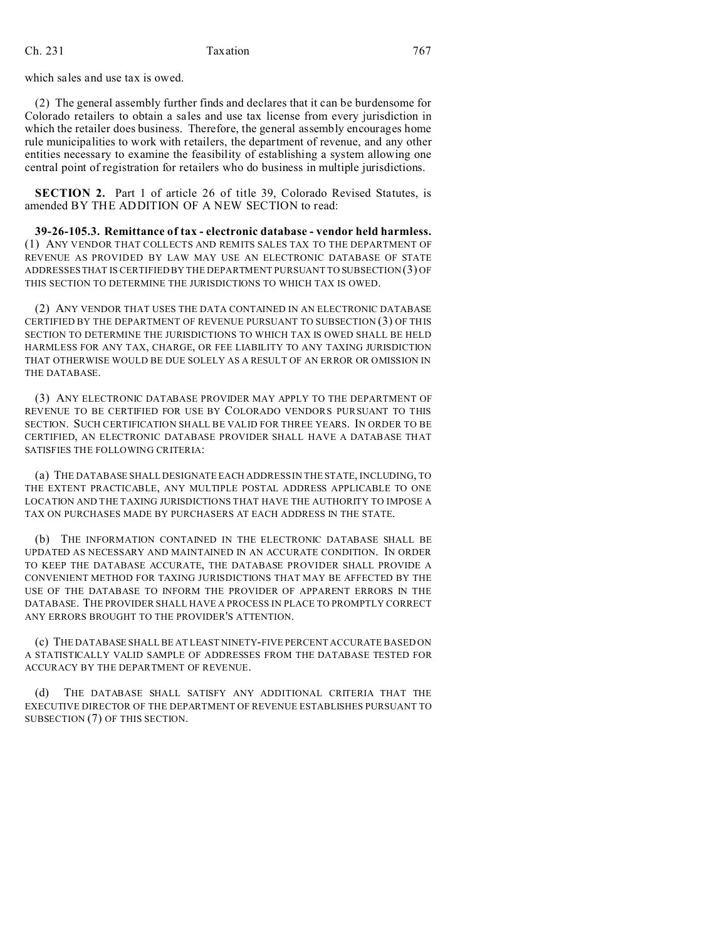## Ch. 231 Taxation 767

which sales and use tax is owed.

(2) The general assembly further finds and declares that it can be burdensome for Colorado retailers to obtain a sales and use tax license from every jurisdiction in which the retailer does business. Therefore, the general assembly encourages home rule municipalities to work with retailers, the department of revenue, and any other entities necessary to examine the feasibility of establishing a system allowing one central point of registration for retailers who do business in multiple jurisdictions.

**SECTION 2.** Part 1 of article 26 of title 39, Colorado Revised Statutes, is amended BY THE ADDITION OF A NEW SECTION to read:

**39-26-105.3. Remittance of tax - electronic database - vendor held harmless.** (1) ANY VENDOR THAT COLLECTS AND REMITS SALES TAX TO THE DEPARTMENT OF REVENUE AS PROVIDED BY LAW MAY USE AN ELECTRONIC DATABASE OF STATE ADDRESSES THAT IS CERTIFIED BY THE DEPARTMENT PURSUANT TO SUBSECTION (3) OF THIS SECTION TO DETERMINE THE JURISDICTIONS TO WHICH TAX IS OWED.

(2) ANY VENDOR THAT USES THE DATA CONTAINED IN AN ELECTRONIC DATABASE CERTIFIED BY THE DEPARTMENT OF REVENUE PURSUANT TO SUBSECTION (3) OF THIS SECTION TO DETERMINE THE JURISDICTIONS TO WHICH TAX IS OWED SHALL BE HELD HARMLESS FOR ANY TAX, CHARGE, OR FEE LIABILITY TO ANY TAXING JURISDICTION THAT OTHERWISE WOULD BE DUE SOLELY AS A RESULT OF AN ERROR OR OMISSION IN THE DATABASE.

(3) ANY ELECTRONIC DATABASE PROVIDER MAY APPLY TO THE DEPARTMENT OF REVENUE TO BE CERTIFIED FOR USE BY COLORADO VENDORS PURSUANT TO THIS SECTION. SUCH CERTIFICATION SHALL BE VALID FOR THREE YEARS. IN ORDER TO BE CERTIFIED, AN ELECTRONIC DATABASE PROVIDER SHALL HAVE A DATABASE THAT SATISFIES THE FOLLOWING CRITERIA:

(a) THE DATABASE SHALL DESIGNATE EACH ADDRESS IN THE STATE, INCLUDING, TO THE EXTENT PRACTICABLE, ANY MULTIPLE POSTAL ADDRESS APPLICABLE TO ONE LOCATION AND THE TAXING JURISDICTIONS THAT HAVE THE AUTHORITY TO IMPOSE A TAX ON PURCHASES MADE BY PURCHASERS AT EACH ADDRESS IN THE STATE.

(b) THE INFORMATION CONTAINED IN THE ELECTRONIC DATABASE SHALL BE UPDATED AS NECESSARY AND MAINTAINED IN AN ACCURATE CONDITION. IN ORDER TO KEEP THE DATABASE ACCURATE, THE DATABASE PROVIDER SHALL PROVIDE A CONVENIENT METHOD FOR TAXING JURISDICTIONS THAT MAY BE AFFECTED BY THE USE OF THE DATABASE TO INFORM THE PROVIDER OF APPARENT ERRORS IN THE DATABASE. THE PROVIDER SHALL HAVE A PROCESS IN PLACE TO PROMPTLY CORRECT ANY ERRORS BROUGHT TO THE PROVIDER'S ATTENTION.

(c) THE DATABASE SHALL BE AT LEAST NINETY-FIVE PERCENT ACCURATE BASED ON A STATISTICALLY VALID SAMPLE OF ADDRESSES FROM THE DATABASE TESTED FOR ACCURACY BY THE DEPARTMENT OF REVENUE.

(d) THE DATABASE SHALL SATISFY ANY ADDITIONAL CRITERIA THAT THE EXECUTIVE DIRECTOR OF THE DEPARTMENT OF REVENUE ESTABLISHES PURSUANT TO SUBSECTION (7) OF THIS SECTION.